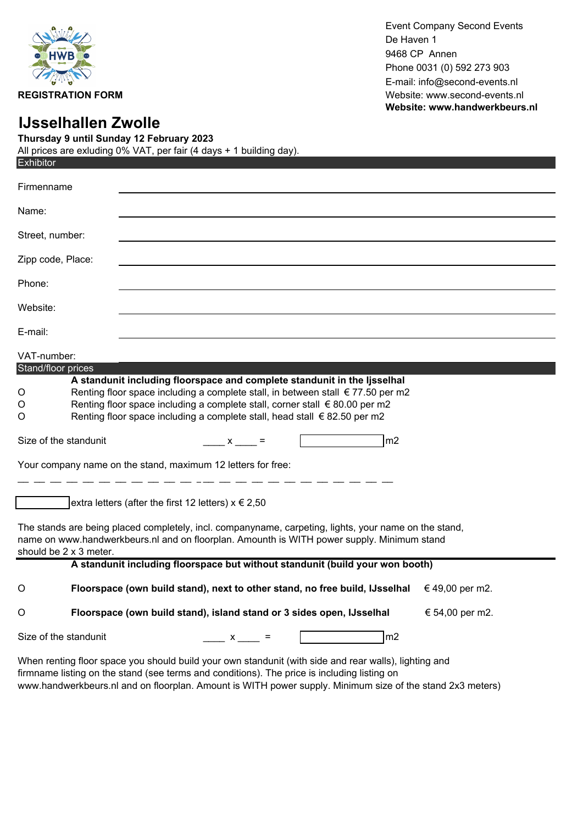

Event Company Second Events De Haven 1 9468 CP Annen Phone 0031 (0) 592 273 903 E-mail: info@second-events.nl **REGISTRATION FORM REGISTRATION FORM Website:** www.second-events.nl **Website: www.handwerkbeurs.nl**

## **IJsselhallen Zwolle**

**Thursday 9 until Sunday 12 February 2023** All prices are exluding 0% VAT, per fair (4 days + 1 building day).

| <b>Exhibitor</b>                                                                                                                                                                                                              |                                                                                                                                                                                                                                                                                                                         |  |  |  |  |  |
|-------------------------------------------------------------------------------------------------------------------------------------------------------------------------------------------------------------------------------|-------------------------------------------------------------------------------------------------------------------------------------------------------------------------------------------------------------------------------------------------------------------------------------------------------------------------|--|--|--|--|--|
| Firmenname                                                                                                                                                                                                                    |                                                                                                                                                                                                                                                                                                                         |  |  |  |  |  |
| Name:                                                                                                                                                                                                                         |                                                                                                                                                                                                                                                                                                                         |  |  |  |  |  |
| Street, number:                                                                                                                                                                                                               |                                                                                                                                                                                                                                                                                                                         |  |  |  |  |  |
| Zipp code, Place:                                                                                                                                                                                                             |                                                                                                                                                                                                                                                                                                                         |  |  |  |  |  |
| Phone:                                                                                                                                                                                                                        |                                                                                                                                                                                                                                                                                                                         |  |  |  |  |  |
| Website:                                                                                                                                                                                                                      |                                                                                                                                                                                                                                                                                                                         |  |  |  |  |  |
| E-mail:                                                                                                                                                                                                                       |                                                                                                                                                                                                                                                                                                                         |  |  |  |  |  |
| VAT-number:                                                                                                                                                                                                                   |                                                                                                                                                                                                                                                                                                                         |  |  |  |  |  |
| Stand/floor prices                                                                                                                                                                                                            |                                                                                                                                                                                                                                                                                                                         |  |  |  |  |  |
| O<br>O<br>O                                                                                                                                                                                                                   | A standunit including floorspace and complete standunit in the lisselhal<br>Renting floor space including a complete stall, in between stall € 77.50 per m2<br>Renting floor space including a complete stall, corner stall € 80.00 per m2<br>Renting floor space including a complete stall, head stall € 82.50 per m2 |  |  |  |  |  |
| Size of the standunit                                                                                                                                                                                                         | m2<br>$x =$                                                                                                                                                                                                                                                                                                             |  |  |  |  |  |
| Your company name on the stand, maximum 12 letters for free:                                                                                                                                                                  |                                                                                                                                                                                                                                                                                                                         |  |  |  |  |  |
|                                                                                                                                                                                                                               |                                                                                                                                                                                                                                                                                                                         |  |  |  |  |  |
|                                                                                                                                                                                                                               | extra letters (after the first 12 letters) $x \in 2,50$                                                                                                                                                                                                                                                                 |  |  |  |  |  |
| The stands are being placed completely, incl. companyname, carpeting, lights, your name on the stand,<br>name on www.handwerkbeurs.nl and on floorplan. Amounth is WITH power supply. Minimum stand<br>should be 2 x 3 meter. |                                                                                                                                                                                                                                                                                                                         |  |  |  |  |  |
| A standunit including floorspace but without standunit (build your won booth)                                                                                                                                                 |                                                                                                                                                                                                                                                                                                                         |  |  |  |  |  |
| O                                                                                                                                                                                                                             | Floorspace (own build stand), next to other stand, no free build, IJsselhal<br>€ 49,00 per m2.                                                                                                                                                                                                                          |  |  |  |  |  |
| $\circ$                                                                                                                                                                                                                       | Floorspace (own build stand), island stand or 3 sides open, IJsselhal<br>€ 54,00 per m2.                                                                                                                                                                                                                                |  |  |  |  |  |
| Size of the standunit<br>m2<br>$\overline{X}$                                                                                                                                                                                 |                                                                                                                                                                                                                                                                                                                         |  |  |  |  |  |

When renting floor space you should build your own standunit (with side and rear walls), lighting and firmname listing on the stand (see terms and conditions). The price is including listing on www.handwerkbeurs.nl and on floorplan. Amount is WITH power supply. Minimum size of the stand 2x3 meters)